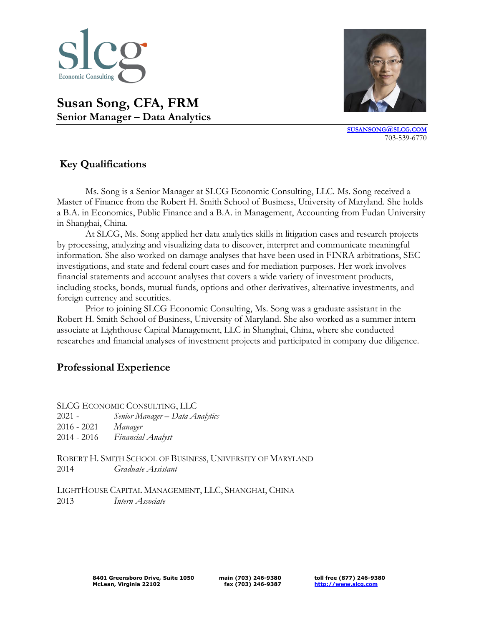

**[SUSANSONG](mailto:SUSANSONG@SLCG.COM)@SLCG.COM** 703-539-6770

# **Susan Song, CFA, FRM Senior Manager – Data Analytics**

# **Key Qualifications**

Ms. Song is a Senior Manager at SLCG Economic Consulting, LLC. Ms. Song received a Master of Finance from the Robert H. Smith School of Business, University of Maryland. She holds a B.A. in Economics, Public Finance and a B.A. in Management, Accounting from Fudan University in Shanghai, China.

At SLCG, Ms. Song applied her data analytics skills in litigation cases and research projects by processing, analyzing and visualizing data to discover, interpret and communicate meaningful information. She also worked on damage analyses that have been used in FINRA arbitrations, SEC investigations, and state and federal court cases and for mediation purposes. Her work involves financial statements and account analyses that covers a wide variety of investment products, including stocks, bonds, mutual funds, options and other derivatives, alternative investments, and foreign currency and securities.

Prior to joining SLCG Economic Consulting, Ms. Song was a graduate assistant in the Robert H. Smith School of Business, University of Maryland. She also worked as a summer intern associate at Lighthouse Capital Management, LLC in Shanghai, China, where she conducted researches and financial analyses of investment projects and participated in company due diligence.

# **Professional Experience**

SLCG ECONOMIC CONSULTING, LLC - *Senior Manager – Data Analytics* - 2021 *Manager* - 2016 *Financial Analyst*

ROBERT H. SMITH SCHOOL OF BUSINESS, UNIVERSITY OF MARYLAND 2014 *Graduate Assistant*

LIGHTHOUSE CAPITAL MANAGEMENT, LLC, SHANGHAI, CHINA 2013 *Intern Associate*

**main (703) 246-9380 fax (703) 246-9387** **toll free (877) 246-9380 [http://www.slcg.com](http://www.slcg.com/)**